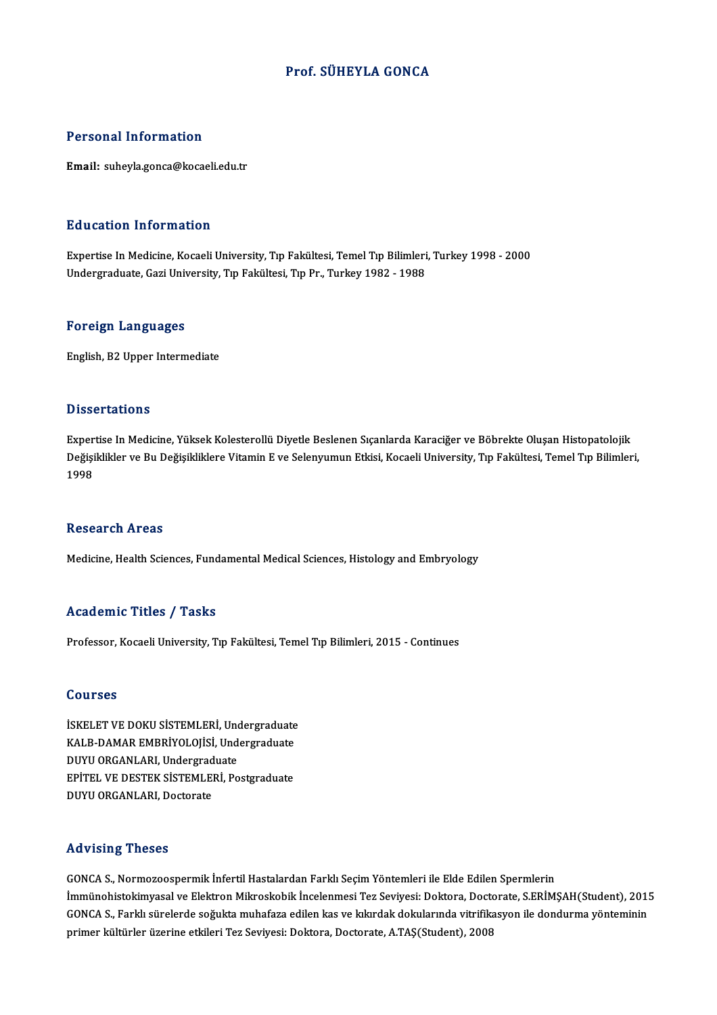### Prof. SÜHEYLA GONCA

#### Personal Information

Email: suheyla.gonca@kocaeli.edu.tr

#### Education Information

Education Information<br>Expertise In Medicine, Kocaeli University, Tıp Fakültesi, Temel Tıp Bilimleri, Turkey 1998 - 2000<br>Undergraduate Cari University, Tıp Fakültesi, Tıp Pr. Turkey 1992, 1999 Buusuteen IIII of Indersin<br>Expertise In Medicine, Kocaeli University, Tıp Fakültesi, Temel Tıp Bilimleri<br>Undergraduate, Gazi University, Tıp Fakültesi, Tıp Pr., Turkey 1982 - 1988 Undergraduate, Gazi University, Tıp Fakültesi, Tıp Pr., Turkey 1982 - 1988<br>Foreign Languages

English,B2Upper Intermediate

#### **Dissertations**

Expertise In Medicine, Yüksek Kolesterollü Diyetle Beslenen Sıçanlarda Karaciğer ve Böbrekte Oluşan Histopatolojik D'isser tarre'ns<br>Expertise In Medicine, Yüksek Kolesterollü Diyetle Beslenen Sıçanlarda Karaciğer ve Böbrekte Oluşan Histopatolojik<br>Değişiklikler ve Bu Değişikliklere Vitamin E ve Selenyumun Etkisi, Kocaeli University, Tıp Exper<br>Değişi<br>1998 1998<br>Research Areas

Medicine, Health Sciences, Fundamental Medical Sciences, Histology and Embryology

#### Academic Titles / Tasks

Professor, Kocaeli University, Tıp Fakültesi, Temel Tıp Bilimleri, 2015 - Continues

#### Courses

Courses<br>İSKELET VE DOKU SİSTEMLERİ, Undergraduate<br>KALP DAMAR EMPRİYOLOJİSİ, Undergraduate SSQLISSS<br>İSKELET VE DOKU SİSTEMLERİ, Undergraduate<br>KALB-DAMAR EMBRİYOLOJİSİ, Undergraduate<br>DUVU OBCANLARL Undergraduate İSKELET VE DOKU SİSTEMLERİ, Undergraduate<br>KALB-DAMAR EMBRİYOLOJİSİ, Undergraduate<br>DUYU ORGANLARI, Undergraduate<br>ERİTEL VE DESTEK SİSTEMLERİ, Po KALB-DAMAR EMBRİYOLOJİSİ, Undergraduate<br>DUYU ORGANLARI, Undergraduate<br>EPİTEL VE DESTEK SİSTEMLERİ, Postgraduate<br>DUYU OBCANLARI, Destarate DUYU ORGANLARI, Undergrad<br>EPİTEL VE DESTEK SİSTEMLEI<br>DUYU ORGANLARI, Doctorate DUYU ORGANLARI, Doctorate<br>Advising Theses

Advising Theses<br>GONCA S., Normozoospermik İnfertil Hastalardan Farklı Seçim Yöntemleri ile Elde Edilen Spermlerin<br>İmmünabistəlsimuasəl və Elektron Milweskabik İnselenmesi Ter Seyiyesi: Dektara, Destanate s EPİM ITA VISING<br>IMMCA S., Normozoospermik İnfertil Hastalardan Farklı Seçim Yöntemleri ile Elde Edilen Spermlerin<br>İmmünohistokimyasal ve Elektron Mikroskobik İncelenmesi Tez Seviyesi: Doktora, Doctorate, S.ERİMŞAH(Student),<br>CON GONCA S., Normozoospermik İnfertil Hastalardan Farklı Seçim Yöntemleri ile Elde Edilen Spermlerin<br>İmmünohistokimyasal ve Elektron Mikroskobik İncelenmesi Tez Seviyesi: Doktora, Doctorate, S.ERİMŞAH(Student), 201!<br>GONCA S., İmmünohistokimyasal ve Elektron Mikroskobik İncelenmesi Tez Seviyesi: Doktora, Docto<br>GONCA S., Farklı sürelerde soğukta muhafaza edilen kas ve kıkırdak dokularında vitrifik:<br>primer kültürler üzerine etkileri Tez Seviyesi: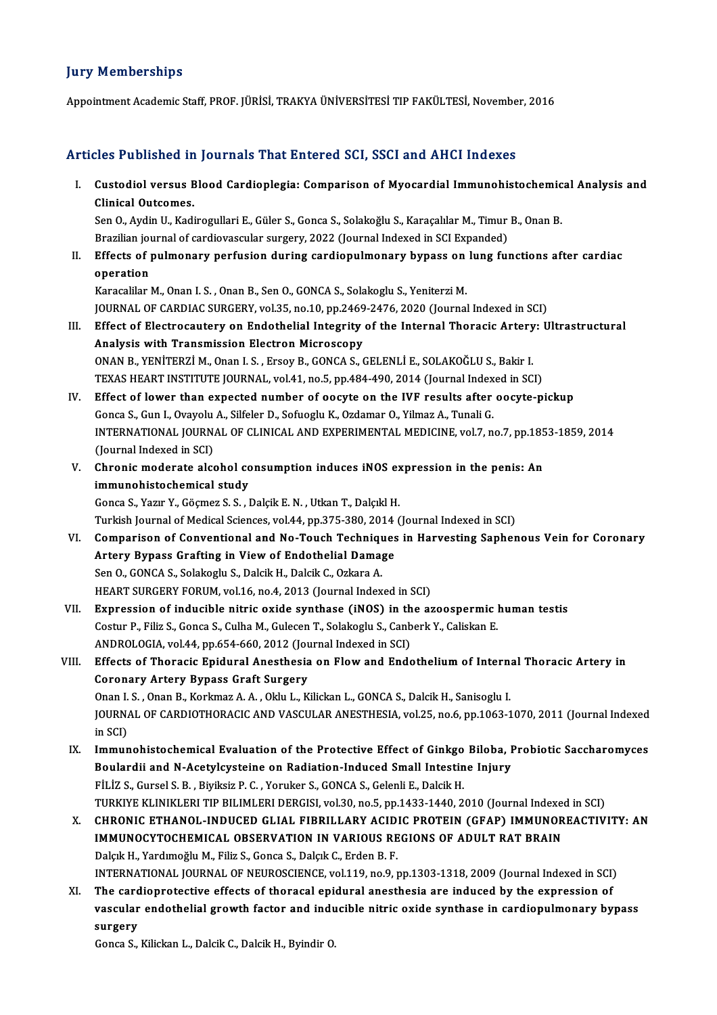### **Jury Memberships**

Appointment Academic Staff, PROF. JÜRİSİ, TRAKYA ÜNİVERSİTESİ TIP FAKÜLTESİ, November, 2016

#### Articles Published in Journals That Entered SCI, SSCI and AHCI Indexes

rticles Published in Journals That Entered SCI, SSCI and AHCI Indexes<br>I. Custodiol versus Blood Cardioplegia: Comparison of Myocardial Immunohistochemical Analysis and<br>Clinical Outcomes Clinical Outcomes.<br>Clinical Outcomes.<br>Sep 0. Aydin II, Kadi Custodiol versus Blood Cardioplegia: Comparison of Myocardial Immunohistochemic<br>Clinical Outcomes.<br>Sen O., Aydin U., Kadirogullari E., Güler S., Gonca S., Solakoğlu S., Karaçalılar M., Timur B., Onan B.<br>Presilien journal o

Clinical Outcomes.<br>Sen 0., Aydin U., Kadirogullari E., Güler S., Gonca S., Solakoğlu S., Karaçalılar M., Timur<br>Brazilian journal of cardiovascular surgery, 2022 (Journal Indexed in SCI Expanded)<br>Effects of pulmonary perfus Sen O., Aydin U., Kadirogullari E., Güler S., Gonca S., Solakoğlu S., Karaçalılar M., Timur B., Onan B.<br>Brazilian journal of cardiovascular surgery, 2022 (Journal Indexed in SCI Expanded)<br>II. Effects of pulmonary perfusion

Brazilian jou<br>Effects of p<br>operation<br>Karacalilar l Effects of pulmonary perfusion during cardiopulmonary bypass on<br>operation<br>Karacalilar M., Onan I. S. , Onan B., Sen O., GONCA S., Solakoglu S., Yeniterzi M.<br>JOUPMAL OF GARDIAC SURCERY vol 25, no 10, np 2460, 2476, 2020 (Jo

operation<br>Karacalilar M., Onan I. S. , Onan B., Sen O., GONCA S., Solakoglu S., Yeniterzi M.<br>JOURNAL OF CARDIAC SURGERY, vol.35, no.10, pp.2469-2476, 2020 (Journal Indexed in SCI)<br>Effect of Electrosautery on Endethelial In Karacalilar M., Onan I. S. , Onan B., Sen O., GONCA S., Solakoglu S., Yeniterzi M.<br>JOURNAL OF CARDIAC SURGERY, vol.35, no.10, pp.2469-2476, 2020 (Journal Indexed in SCI)<br>III. Effect of Electrocautery on Endothelial Integri

- JOURNAL OF CARDIAC SURGERY, vol.35, no.10, pp.2469<br>Effect of Electrocautery on Endothelial Integrity<br>Analysis with Transmission Electron Microscopy<br>ONAN P. VENITERZI M. ORR J. S. FEGNI B. CONCA S. 6 Effect of Electrocautery on Endothelial Integrity of the Internal Thoracic Artery<br>Analysis with Transmission Electron Microscopy<br>ONAN B., YENİTERZİ M., Onan I. S., Ersoy B., GONCA S., GELENLİ E., SOLAKOĞLU S., Bakir I.<br>TEV Analysis with Transmission Electron Microscopy<br>ONAN B., YENİTERZİ M., Onan I. S. , Ersoy B., GONCA S., GELENLİ E., SOLAKOĞLU S., Bakir I.<br>TEXAS HEART INSTITUTE JOURNAL, vol.41, no.5, pp.484-490, 2014 (Journal Indexed in SC
- IV. Effect of lower than expected number of oocyte on the IVF results after oocyte-pickup TEXAS HEART INSTITUTE JOURNAL, vol.41, no.5, pp.484-490, 2014 (Journal Index<br>Effect of lower than expected number of oocyte on the IVF results after<br>Gonca S., Gun I., Ovayolu A., Silfeler D., Sofuoglu K., Ozdamar O., Yilma INTERNATIONAL JOURNAL OF CLINICAL AND EXPERIMENTAL MEDICINE, vol.7, no.7, pp.1853-1859, 2014<br>(Journal Indexed in SCI) Gonca S., Gun I., Ovayolu<br>INTERNATIONAL JOURN.<br>(Journal Indexed in SCI)<br>Chronic moderate else INTERNATIONAL JOURNAL OF CLINICAL AND EXPERIMENTAL MEDICINE, vol.7, no.7, pp.185<br>(Journal Indexed in SCI)<br>V. Chronic moderate alcohol consumption induces iNOS expression in the penis: An<br>immunobistochamical study
- (Journal Indexed in SCI)<br>Chronic moderate alcohol co<br>immunohistochemical study<br>Conge S. Verun V. Cögmer S. S. J

immunohistochemical study<br>Gonca S., Yazır Y., Göçmez S. S. , Dalçik E. N. , Utkan T., Dalçıkl H.

Turkish Journal of Medical Sciences, vol.44, pp.375-380, 2014 (Journal Indexed in SCI)

- Gonca S., Yazır Y., Göçmez S. S. , Dalçik E. N. , Utkan T., Dalçıkl H.<br>Turkish Journal of Medical Sciences, vol.44, pp.375-380, 2014 (Journal Indexed in SCI)<br>VI. Comparison of Conventional and No-Touch Techniques in Harves Turkish Journal of Medical Sciences, vol.44, pp.375-380, 2014<br>Comparison of Conventional and No-Touch Techniques<br>Artery Bypass Grafting in View of Endothelial Damage<br>San O. CONCA S. Salakaglu S. Dalsik H. Dalsik C. Orkara Comparison of Conventional and No-Touch Techniqu<br>Artery Bypass Grafting in View of Endothelial Dama;<br>Sen O., GONCA S., Solakoglu S., Dalcik H., Dalcik C., Ozkara A.<br>HEAPT SUBCERY FOBUM vol 16 no.4, 2012 (Journal Indox Artery Bypass Grafting in View of Endothelial Damage<br>Sen O., GONCA S., Solakoglu S., Dalcik H., Dalcik C., Ozkara A.<br>HEART SURGERY FORUM, vol.16, no.4, 2013 (Journal Indexed in SCI)
- VII. Expression of inducible nitric oxide synthase (iNOS) in the azoospermic human testis HEART SURGERY FORUM, vol.16, no.4, 2013 (Journal Indexed in SCI)<br>Expression of inducible nitric oxide synthase (iNOS) in the azoospermic l<br>Costur P., Filiz S., Gonca S., Culha M., Gulecen T., Solakoglu S., Canberk Y., Cali Expression of inducible nitric oxide synthase (iNOS) in th<br>Costur P., Filiz S., Gonca S., Culha M., Gulecen T., Solakoglu S., Canb<br>ANDROLOGIA, vol.44, pp.654-660, 2012 (Journal Indexed in SCI)<br>Effects of Thorasia Enidural Costur P., Filiz S., Gonca S., Culha M., Gulecen T., Solakoglu S., Canberk Y., Caliskan E.<br>ANDROLOGIA, vol.44, pp.654-660, 2012 (Journal Indexed in SCI)<br>VIII. Effects of Thoracic Epidural Anesthesia on Flow and Endothelium
- ANDROLOGIA, vol.44, pp.654-660, 2012 (Journal Indexed in SCI)<br>Effects of Thoracic Epidural Anesthesia on Flow and Ende<br>Coronary Artery Bypass Graft Surgery Effects of Thoracic Epidural Anesthesia on Flow and Endothelium of Internationally contains a Coronary Artery Bypass Graft Surgery<br>Onan I. S. , Onan B., Korkmaz A. A. , Oklu L., Kilickan L., GONCA S., Dalcik H., Sanisoglu JOURNAL OF CARDIOTHORACIC AND VASCULAR ANESTHESIA, vol.25, no.6, pp.1063-1070, 2011 (Journal Indexed<br>in SCI) Onan I. S., Onan B., Korkmaz A. A., Oklu L., Kilickan L., GONCA S., Dalcik H., Sanisoglu I. IOURNAL OF CARDIOTHORACIC AND VASCULAR ANESTHESIA, vol.25, no.6, pp.1063-1070, 2011 (Journal Indexed<br>in SCI)<br>IX. Immunohistochemical Evaluation of the Protective Effect of Ginkgo Biloba, Probiotic Saccharomyces<br>Boulandii a
- in SCI)<br>Immunohistochemical Evaluation of the Protective Effect of Ginkgo Biloba, I<br>Boulardii and N-Acetylcysteine on Radiation-Induced Small Intestine Injury<br>Fit iz S. Cursel S. B. Pivilaiz P. C. Verulser S. CONCA S. Cele Boulardii and N-Acetylcysteine on Radiation-Induced Small Intestine Injury<br>FİLİZ S., Gursel S. B., Biyiksiz P. C., Yoruker S., GONCA S., Gelenli E., Dalcik H. TURKIYE KLINIKLERI TIP BILIMLERI DERGISI, vol.30, no.5, pp.1433-1440, 2010 (Journal Indexed in SCI) FİLİZ S., Gursel S. B. , Biyiksiz P. C. , Yoruker S., GONCA S., Gelenli E., Dalcik H.<br>TURKIYE KLINIKLERI TIP BILIMLERI DERGISI, vol.30, no.5, pp.1433-1440, 2010 (Journal Indexed in SCI)<br>X. CHRONIC ETHANOL-INDUCED GLIAL FIB
- TURKIYE KLINIKLERI TIP BILIMLERI DERGISI, vol.30, no.5, pp.1433-1440, 2010 (Journal Indexed<br>CHRONIC ETHANOL-INDUCED GLIAL FIBRILLARY ACIDIC PROTEIN (GFAP) IMMUNOR<br>IMMUNOCYTOCHEMICAL OBSERVATION IN VARIOUS REGIONS OF ADULT CHRONIC ETHANOL-INDUCED GLIAL FIBRILLARY ACID.<br>IMMUNOCYTOCHEMICAL OBSERVATION IN VARIOUS RE<br>Dalçık H., Yardımoğlu M., Filiz S., Gonca S., Dalçık C., Erden B. F.<br>INTERNATIONAL JOURNAL OF NEUROSCIENCE vel 119. no.9. r IMMUNOCYTOCHEMICAL OBSERVATION IN VARIOUS REGIONS OF ADULT RAT BRAIN<br>Dalçık H., Yardımoğlu M., Filiz S., Gonca S., Dalçık C., Erden B. F.<br>INTERNATIONAL JOURNAL OF NEUROSCIENCE, vol.119, no.9, pp.1303-1318, 2009 (Journal In Dalçık H., Yardımoğlu M., Filiz S., Gonca S., Dalçık C., Erden B. F.<br>INTERNATIONAL JOURNAL OF NEUROSCIENCE, vol.119, no.9, pp.1303-1318, 2009 (Journal Indexed in SCI)<br>XI. The cardioprotective effects of thoracal epidural a
- INTERNATIONAL JOURNAL OF NEUROSCIENCE, vol.119, no.9, pp.1303-1318, 2009 (Journal Indexed in SCI)<br>The cardioprotective effects of thoracal epidural anesthesia are induced by the expression of<br>vascular endothelial growth fa The card<br>vascular<br>surgery<br><sup>Conce S</sup> vascular endothelial growth factor and inducible nitric oxide synthase in cardiopulmonary bypass<br>surgery<br>Gonca S., Kilickan L., Dalcik C., Dalcik H., Byindir O.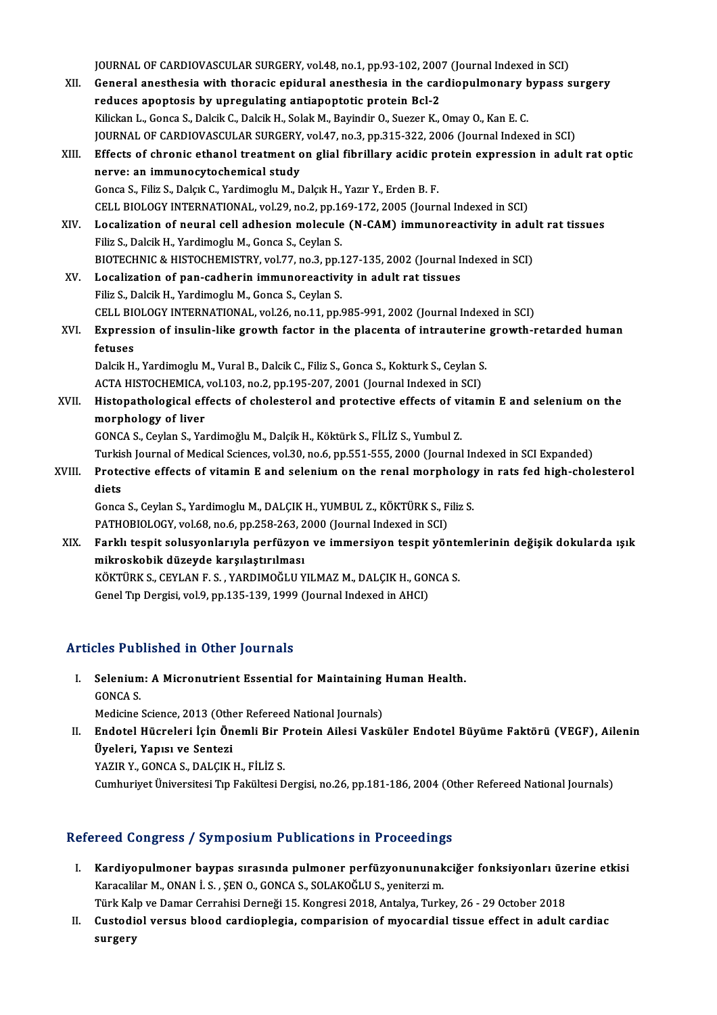JOURNAL OF CARDIOVASCULAR SURGERY, vol.48, no.1, pp.93-102, 2007 (Journal Indexed in SCI)<br>Coneral anesthesia with therasis enidural anesthesia in the sandianulmenary bunass s

XII. General anesthesia with thoracic epidural anesthesia in the cardiopulmonary bypass surgery<br>reduces apoptosis by upregulating antiapoptotic protein Bcl-2 JOURNAL OF CARDIOVASCULAR SURGERY, vol.48, no.1, pp.93-102, 200<br>General anesthesia with thoracic epidural anesthesia in the car<br>reduces apoptosis by upregulating antiapoptotic protein Bcl-2<br>Wikken L. Conse S. Dakik G. Daki Kilickan L., Gonca S., Dalcik C., Dalcik H., Solak M., Bayindir O., Suezer K., Omay O., Kan E. C. reduces apoptosis by upregulating antiapoptotic protein Bcl-2<br>Kilickan L., Gonca S., Dalcik C., Dalcik H., Solak M., Bayindir O., Suezer K., Omay O., Kan E. C.<br>JOURNAL OF CARDIOVASCULAR SURGERY, vol.47, no.3, pp.315-322, 2 Kilickan L., Gonca S., Dalcik C., Dalcik H., Solak M., Bayindir O., Suezer K., Omay O., Kan E. C.<br>JOURNAL OF CARDIOVASCULAR SURGERY, vol.47, no.3, pp.315-322, 2006 (Journal Indexed in SCI)<br>XIII. Effects of chronic ethanol JOURNAL OF CARDIOVASCULAR SURGERY<br>Effects of chronic ethanol treatment control of the method of the study<br>Conce S. Filiz S. Dalcik C. Yardimeglu M. F Effects of chronic ethanol treatment on glial fibrillary acidic proversion at immunocytochemical study<br>Gonca S., Filiz S., Dalçık C., Yardimoglu M., Dalçık H., Yazır Y., Erden B. F.<br>CELL RIOLOCY INTERNATIONAL .vel 29. no 2 nerve: an immunocytochemical study<br>Gonca S., Filiz S., Dalçık C., Yardimoglu M., Dalçık H., Yazır Y., Erden B. F.<br>CELL BIOLOGY INTERNATIONAL, vol.29, no.2, pp.169-172, 2005 (Journal Indexed in SCI)<br>Logalization of noural s Gonca S., Filiz S., Dalçık C., Yardimoglu M., Dalçık H., Yazır Y., Erden B. F.<br>CELL BIOLOGY INTERNATIONAL, vol.29, no.2, pp.169-172, 2005 (Journal Indexed in SCI)<br>XIV. Localization of neural cell adhesion molecule (N-C CELL BIOLOGY INTERNATIONAL, vol.29, no.2, pp.16<br>Localization of neural cell adhesion molecule<br>Filiz S., Dalcik H., Yardimoglu M., Gonca S., Ceylan S.<br>PIOTECHNIC & HISTOCHEMISTPY, vol.77, no.2, nn.1 Localization of neural cell adhesion molecule (N-CAM) immunoreactivity in adu<br>Filiz S., Dalcik H., Yardimoglu M., Gonca S., Ceylan S.<br>BIOTECHNIC & HISTOCHEMISTRY, vol.77, no.3, pp.127-135, 2002 (Journal Indexed in SCI)<br>Loc Filiz S., Dalcik H., Yardimoglu M., Gonca S., Ceylan S.<br>BIOTECHNIC & HISTOCHEMISTRY, vol.77, no.3, pp.127-135, 2002 (Journal Indexed in SCI)<br>XV. Localization of pan-cadherin immunoreactivity in adult rat tissues Filiz S.,DalcikH.,YardimogluM.,Gonca S.,CeylanS. Localization of pan-cadherin immunoreactivity in adult rat tissues<br>Filiz S., Dalcik H., Yardimoglu M., Gonca S., Ceylan S.<br>CELL BIOLOGY INTERNATIONAL, vol.26, no.11, pp.985-991, 2002 (Journal Indexed in SCI)<br>Eunnession of XVI. Expression of insulin-like growth factor in the placenta of intrauterine growth-retarded human CELL BI<mark><br>Express</mark><br>fetuses<br><sup>Deleik H</sub></sup> Expression of insulin-like growth factor in the placenta of intrauterine<br>fetuses<br>Dalcik H., Yardimoglu M., Vural B., Dalcik C., Filiz S., Gonca S., Kokturk S., Ceylan S.<br>ACTA HISTOCHEMICA, vol.1.03, no.2, nn.1.05, 202, 200 fetuses<br>Dalcik H., Yardimoglu M., Vural B., Dalcik C., Filiz S., Gonca S., Kokturk S., Ceylan S<br>ACTA HISTOCHEMICA, vol.103, no.2, pp.195-207, 2001 (Journal Indexed in SCI)<br>Histopathologisel offests of chologtorel and prote Dalcik H., Yardimoglu M., Vural B., Dalcik C., Filiz S., Gonca S., Kokturk S., Ceylan S.<br>ACTA HISTOCHEMICA, vol.103, no.2, pp.195-207, 2001 (Journal Indexed in SCI)<br>XVII. Histopathological effects of cholesterol and protec ACTA HISTOCHEMICA, vol.103, no.2, pp.195-207, 2001 (Journal Indexed in SCI)<br>Histopathological effects of cholesterol and protective effects of vitam<br>morphology of liver<br>GONCA S., Ceylan S., Yardimoğlu M., Dalçik H., Köktür Histopathological effects of cholesterol and protective effects of vi<br>morphology of liver<br>GONCA S., Ceylan S., Yardimoğlu M., Dalçik H., Köktürk S., FİLİZ S., Yumbul Z.<br>Turkich Journal of Modical Sciences, vol 30, ne 6, np <mark>morphology of liver</mark><br>GONCA S., Ceylan S., Yardimoğlu M., Dalçik H., Köktürk S., FİLİZ S., Yumbul Z.<br>Turkish Journal of Medical Sciences, vol.30, no.6, pp.551-555, 2000 (Journal Indexed in SCI Expanded)<br>Protestive effests GONCA S., Ceylan S., Yardimoğlu M., Dalçik H., Köktürk S., FİLİZ S., Yumbul Z.<br>Turkish Journal of Medical Sciences, vol.30, no.6, pp.551-555, 2000 (Journal Indexed in SCI Expanded)<br>XVIII. Protective effects of vitamin E an Turkis<br>Prote<br>diets<br>Canca Protective effects of vitamin E and selenium on the renal morphology<br>diets<br>Gonca S., Ceylan S., Yardimoglu M., DALÇIK H., YUMBUL Z., KÖKTÜRK S., Filiz S.<br>PATHOPIOLOCY, val.69, no.6, np.359, 369, 3000 (Journal Indoved in SC diets<br>Gonca S., Ceylan S., Yardimoglu M., DALÇIK H., YUMBUL Z., KÖKTÜRK S., Filiz S.<br>PATHOBIOLOGY, vol.68, no.6, pp.258-263, 2000 (Journal Indexed in SCI) Gonca S., Ceylan S., Yardimoglu M., DALÇIK H., YUMBUL Z., KÖKTÜRK S., Filiz S.<br>PATHOBIOLOGY, vol.68, no.6, pp.258-263, 2000 (Journal Indexed in SCI)<br>XIX. Farklı tespit solusyonlarıyla perfüzyon ve immersiyon tespit yön mikroskobik düzeyde karşılaştırılması Farklı tespit solusyonlarıyla perfüzyon ve immersiyon tespit yönte<br>mikroskobik düzeyde karşılaştırılması<br>KÖKTÜRK S., CEYLAN F. S. , YARDIMOĞLU YILMAZ M., DALÇIK H., GONCA S.<br>Cenel Tıp Dergisi yal 9 np.125,129,1999 (Jaurnal KÖKTÜRK S., CEYLAN F. S. , YARDIMOĞLU YILMAZ M., DALÇIK H., GONCA S.<br>Genel Tıp Dergisi, vol.9, pp.135-139, 1999 (Journal Indexed in AHCI)

## Articles Published in Other Journals

rticles Published in Other Journals<br>I. Selenium: A Micronutrient Essential for Maintaining Human Health.<br>CONCA S Selenium<br>GONCA S.<br>Modicine Selenium: A Micronutrient Essential for Maintaining<br>GONCA S.<br>Medicine Science, 2013 (Other Refereed National Journals)<br>Endatel Hüsreleri Jein Önemli Bir Brotein Ailesi Vask

GONCA S.<br>Medicine Science, 2013 (Other Refereed National Journals)<br>II. Endotel Hücreleri İçin Önemli Bir Protein Ailesi Vasküler Endotel Büyüme Faktörü (VEGF), Ailenin<br>İlveleri Yanısı ve Senteri Medicine Science, 2013 (Othe<br>Endotel Hücreleri İçin Ön<br>Üyeleri, Yapısı ve Sentezi<br>YAZIB V. CONCA S. DALCIK Endotel Hücreleri İçin Önemli Bir F<br>Üyeleri, Yapısı ve Sentezi<br>YAZIR Y., GONCA S., DALÇIK H., FİLİZ S.<br>Cumburiyet Üniversitesi Tın Felsültesi D **Üyeleri, Yapısı ve Sentezi**<br>YAZIR Y., GONCA S., DALÇIK H., FİLİZ S.<br>Cumhuriyet Üniversitesi Tıp Fakültesi Dergisi, no.26, pp.181-186, 2004 (Other Refereed National Journals)

## Refereed Congress / Symposium Publications in Proceedings

- efereed Congress / Symposium Publications in Proceedings<br>I. Kardiyopulmoner baypas sırasında pulmoner perfüzyonununakciğer fonksiyonları üzerine etkisi<br>Karasalilar M. ONAN İ.S. SEN O. CONCA S. SOLAKOĞLUS venitersi m Kardiyopulmoner baypas sırasında pulmoner perfüzyonununak<br>Karacalilar M., ONAN İ. S. , ŞEN O., GONCA S., SOLAKOĞLU S., yeniterzi m.<br>Türk Keln ve Damar Carrabisi Darnaği 15. Kanarasi 2018, Artakva Turk Kardiyopulmoner baypas sırasında pulmoner perfüzyonununakciğer fonksiyonları üzer<br>Karacalilar M., ONAN İ. S. , ŞEN O., GONCA S., SOLAKOĞLU S., yeniterzi m.<br>Türk Kalp ve Damar Cerrahisi Derneği 15. Kongresi 2018, Antalya, T
- Karacalilar M., ONAN İ. S. , ŞEN O., GONCA S., SOLAKOĞLU S., yeniterzi m.<br>Türk Kalp ve Damar Cerrahisi Derneği 15. Kongresi 2018, Antalya, Turkey, 26 29 October 2018<br>II. Custodiol versus blood cardioplegia, comparisi Türk Kal<br><mark>Custodi</mark><br>surgery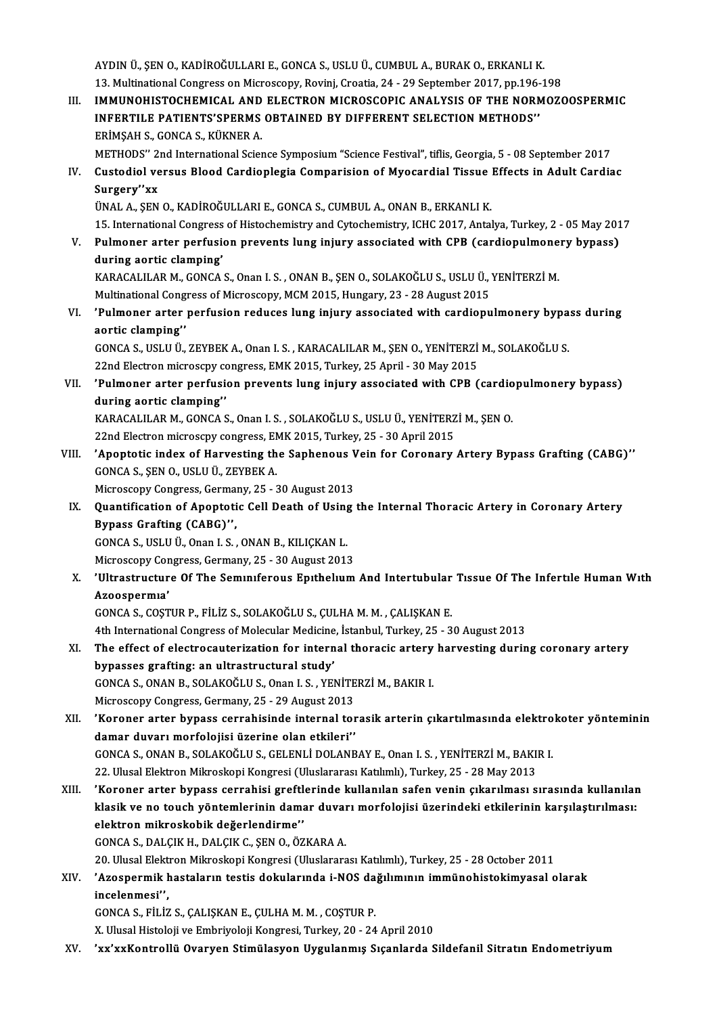AYDIN Ü., ŞEN O., KADİROĞULLARI E., GONCA S., USLU Ü., CUMBUL A., BURAK O., ERKANLI K.<br>13. Multinational Congress on Microssony, Boyini, Crostia, 34, -39 Sontambor 3917, np.196.1 AYDIN Ü., ŞEN O., KADİROĞULLARI E., GONCA S., USLU Ü., CUMBUL A., BURAK O., ERKANLI K.<br>13. Multinational Congress on Microscopy, Rovinj, Croatia, 24 - 29 September 2017, pp.196-198<br>IMMUNOUISTOCUEMICAL, AND ELECTRON MICROSC 13. Multinational Congress on Microscopy, Rovinj, Croatia, 24 - 29 September 2017, pp.196-198

III. IMMUNOHISTOCHEMICAL AND ELECTRON MICROSCOPIC ANALYSIS OF THE NORMOZOOSPERMIC<br>INFERTILE PATIENTS'SPERMS OBTAINED BY DIFFERENT SELECTION METHODS'' ERİMŞAHS.,GONCAS.,KÜKNERA. METHODS" 2nd International Science Symposium "Science Festival", tiflis, Georgia, 5 - 08 September 2017 ERİMŞAH S., GONCA S., KÜKNER A.<br>METHODS'' 2nd International Science Symposium "Science Festival", tiflis, Georgia, 5 - 08 September 2017<br>IV. Custodiol versus Blood Cardioplegia Comparision of Myocardial Tissue Effects METHODS" 2<br>Custodiol ve<br>Surgery"xx<br><sup>TIMAL A</sup> SEN Custodiol versus Blood Cardioplegia Comparision of Myocardial Tissue<br>Surgery''xx<br>ÜNAL A., ŞEN O., KADİROĞULLARI E., GONCA S., CUMBUL A., ONAN B., ERKANLI K.<br>15. International Congress of Histoshomistry and Cytoshomistry, I Surgery''xx<br>ÜNAL A., ŞEN O., KADİROĞULLARI E., GONCA S., CUMBUL A., ONAN B., ERKANLI K.<br>15. International Congress of Histochemistry and Cytochemistry, ICHC 2017, Antalya, Turkey, 2 - 05 May 2017 UNAL A., ŞEN O., KADİROĞULLARI E., GONCA S., CUMBUL A., ONAN B., ERKANLI K.<br>15. International Congress of Histochemistry and Cytochemistry, ICHC 2017, Antalya, Turkey, 2 - 05 May 201<br>1. Pulmoner arter perfusion prevents lu 15. International Congress<br>Pulmoner arter perfusid<br>during aortic clamping'<br>KARACALUAR M. CONCA Pulmoner arter perfusion prevents lung injury associated with CPB (cardiopulmone<br>during aortic clamping'<br>KARACALILAR M., GONCA S., Onan I. S. , ONAN B., ŞEN O., SOLAKOĞLU S., USLU Ü., YENİTERZİ M.<br>Multinational Congress of during aortic clamping'<br>KARACALILAR M., GONCA S., Onan I. S. , ONAN B., ŞEN O., SOLAKOĞLU S., USLU Ü., `<br>Multinational Congress of Microscopy, MCM 2015, Hungary, 23 - 28 August 2015<br>'Pulmanan artar narfusian raduses lung i KARACALILAR M., GONCA S., Onan I. S. , ONAN B., ŞEN O., SOLAKOĞLU S., USLU Ü., YENİTERZİ M.<br>Multinational Congress of Microscopy, MCM 2015, Hungary, 23 - 28 August 2015<br>VI. 'Pulmoner arter perfusion reduces lung injury Multinational Cong<br>'Pulmoner arter<br>aortic clamping'<br>CONCA S. USLU Ü 'Pulmoner arter perfusion reduces lung injury associated with cardiopulmonery bypa<br>aortic clamping''<br>GONCA S., USLU Ü., ZEYBEK A., Onan I. S., KARACALILAR M., ŞEN O., YENİTERZİ M., SOLAKOĞLU S.<br>22nd Electron misrosopy song

aortic clamping''<br>GONCA S., USLU Ü., ZEYBEK A., Onan I. S. , KARACALILAR M., ŞEN O., YENİTERZİ M., SOLAKOĞLU S.<br>22nd Electron microscpy congress, EMK 2015, Turkey, 25 April - 30 May 2015 GONCA S., USLU Ü., ZEYBEK A., Onan I. S. , KARACALILAR M., ŞEN O., YENİTERZİ M., SOLAKOĞLU S.<br>22nd Electron microscpy congress, EMK 2015, Turkey, 25 April - 30 May 2015<br>VII. 'Pulmoner arter perfusion prevents lung inju

22nd Electron microscpy c<br>'Pulmoner arter perfus:<br>during aortic clamping'<br>KARACALUAR M. CONCA 'Pulmoner arter perfusion prevents lung injury associated with CPB (cardio<br>during aortic clamping''<br>KARACALILAR M., GONCA S., Onan I. S. , SOLAKOĞLU S., USLU Ü., YENİTERZİ M., ŞEN O.<br>22nd Electron microscny congress. EMK 2

during aortic clamping''<br>KARACALILAR M., GONCA S., Onan I. S. , SOLAKOĞLU S., USLU Ü., YENİTERZİ M., ŞEN O.<br>22nd Electron microscpy congress, EMK 2015, Turkey, 25 - 30 April 2015

KARACALILAR M., GONCA S., Onan I. S. , SOLAKOĞLU S., USLU Ü., YENİTERZİ M., ŞEN O.<br>22nd Electron microscpy congress, EMK 2015, Turkey, 25 - 30 April 2015<br>VIII. 'Apoptotic index of Harvesting the Saphenous Vein for Coro 22nd Electron microscpy congress, EN<br> **Apoptotic index of Harvesting th**<br>
GONCA S., ŞEN O., USLU Ü., ZEYBEK A.<br>
Microscony Congress Cormany 25 Apoptotic index of Harvesting the Saphenous V<br>GONCA S., ŞEN O., USLU Ü., ZEYBEK A.<br>Microscopy Congress, Germany, 25 - 30 August 2013<br>Quantification of Apontotic Cell Death of Heing

Microscopy Congress, Germany, 25 - 30 August 2013

GONCA S., ŞEN O., USLU Ü., ZEYBEK A.<br>Microscopy Congress, Germany, 25 - 30 August 2013<br>IX. Quantification of Apoptotic Cell Death of Using the Internal Thoracic Artery in Coronary Artery<br>Bypass Grafting (CABG)'', Bypass Grafting (CABG)'',<br>GONCA S., USLU Ü., Onan I. S. , ONAN B., KILIÇKAN L.<br>Microscopy Congress, Germany, 25 - 30 August 2013<br>''Utnestrusture Of The Semunferous Enthelum

GONCA S., USLU Ü., Onan I. S., ONAN B., KILIÇKAN L.

# X. 'Ultrastructure Of The Seminiferous Epithelium And Intertubular Tissue Of The Infertile Human With<br>Azoospermia' Microscopy Cor<br>'Ultrastructur<br>Azoospermıa'<br>CONCA S. COST

GONCAS.,COŞTURP.,FİLİZ S.,SOLAKOĞLUS.,ÇULHAM.M. ,ÇALIŞKANE.

4th International Congress of Molecular Medicine, İstanbul, Turkey, 25 - 30 August 2013

## GONCA S., COŞTUR P., FİLİZ S., SOLAKOĞLU S., ÇULHA M. M. , ÇALIŞKAN E.<br>4th International Congress of Molecular Medicine, İstanbul, Turkey, 25 - 30 August 2013<br>XI. The effect of electrocauterization for internal thoracic ar bypasses grafting: an ultrastructural study' The effect of electrocauterization for internal thoracic artery<br>bypasses grafting: an ultrastructural study'<br>GONCA S., ONAN B., SOLAKOĞLU S., Onan I. S. , YENİTERZİ M., BAKIR I.<br>Missaggany Congress Cormany, 25, 29 Aygust 2 GONCA S., ONAN B., SOLAKOĞLU S., Onan I. S., YENİTERZİ M., BAKIR I.<br>Microscopy Congress, Germany, 25 - 29 August 2013

GONCA S., ONAN B., SOLAKOĞLU S., Onan I. S. , YENİTERZİ M., BAKIR I.<br>Microscopy Congress, Germany, 25 - 29 August 2013<br>XII. 'Koroner arter bypass cerrahisinde internal torasik arterin çıkartılmasında elektrokoter yönte Microscopy Congress, Germany, 25 - 29 August 2013<br>'Koroner arter bypass cerrahisinde internal to<br>damar duvarı morfolojisi üzerine olan etkileri'<br>CONGA S. ONAN B. SOLAKOĞLUS, CELENLİ DOLANI 'Koroner arter bypass cerrahisinde internal torasik arterin çıkartılmasında elektro<br>damar duvarı morfolojisi üzerine olan etkileri''<br>GONCA S., ONAN B., SOLAKOĞLU S., GELENLİ DOLANBAY E., Onan I. S. , YENİTERZİ M., BAKIR I. damar duvarı morfolojisi üzerine olan etkileri''<br>GONCA S., ONAN B., SOLAKOĞLU S., GELENLİ DOLANBAY E., Onan I. S. , YENİTERZİ M., BAKIR I.<br>22. Ulusal Elektron Mikroskopi Kongresi (Uluslararası Katılımlı), Turkey, 25 - 28 M

XIII. 'Koroner arter bypass cerrahisi greftlerinde kullanılan safen venin çıkarılması sırasında kullanılan 22. Ulusal Elektron Mikroskopi Kongresi (Uluslararası Katılımlı), Turkey, 25 - 28 May 2013<br>'Koroner arter bypass cerrahisi greftlerinde kullanılan safen venin çıkarılması sırasında kullanılar<br>klasik ve no touch yöntemlerin 'Koroner arter bypass cerrahisi greft<br>klasik ve no touch yöntemlerinin dam<br>elektron mikroskobik değerlendirme'<br>CONCA S. DALCIK H. DALCIK C. SEN O. Ö' klasik ve no touch yöntemlerinin damar duvar<br>elektron mikroskobik değerlendirme''<br>GONCA S., DALÇIK H., DALÇIK C., ŞEN O., ÖZKARA A.<br>20 Ulucal Elektron Milmeskopi Kongresi (Uluslarare elektron mikroskobik değerlendirme''<br>GONCA S., DALÇIK H., DALÇIK C., ŞEN O., ÖZKARA A.<br>20. Ulusal Elektron Mikroskopi Kongresi (Uluslararası Katılımlı), Turkey, 25 - 28 October 2011

## GONCA S., DALÇIK H., DALÇIK C., ŞEN O., ÖZKARA A.<br>20. Ulusal Elektron Mikroskopi Kongresi (Uluslararası Katılımlı), Turkey, 25 - 28 October 2011<br>XIV. 'Azospermik hastaların testis dokularında i-NOS dağılımının immünohi 20. Ulusal Elekt<br>'Azospermik ł<br>incelenmesi'',<br>CONCA S. Eli iz 'Azospermik hastaların testis dokularında i-NOS da<br>incelenmesi'',<br>GONCA S., FİLİZ S., ÇALIŞKAN E., ÇULHA M. M. , COŞTUR P.<br>Y. Ulucel Histolaji ve Embriyalaji Kansresi Turkay 20, 24 incelenmesi'',<br>GONCA S., FİLİZ S., ÇALIŞKAN E., ÇULHA M. M. , COŞTUR P.<br>X. Ulusal Histoloji ve Embriyoloji Kongresi, Turkey, 20 - 24 April 2010

XV. 'xx'xxKontrollü Ovaryen Stimülasyon Uygulanmış Sıçanlarda Sildefanil Sitratın Endometriyum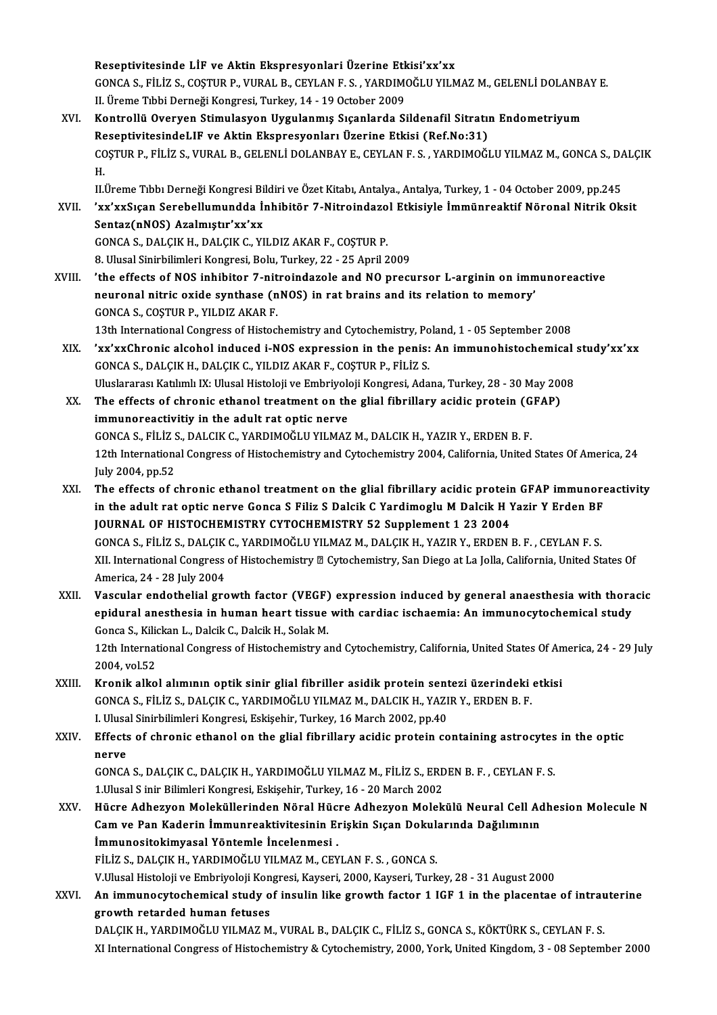Reseptivitesinde LİF ve Aktin Ekspresyonlari Üzerine Etkisi'xx'xx<br>CONCA S. Filiz S. COSTUP P. VUPAL B. CEVLAN E.S., VAPDIMOČLU VU N Reseptivitesinde LİF ve Aktin Ekspresyonlari Üzerine Etkisi'xx'xx<br>GONCA S., FİLİZ S., COŞTUR P., VURAL B., CEYLAN F. S. , YARDIMOĞLU YILMAZ M., GELENLİ DOLANBAY E.<br>U. Ürama Tıbbi Darnaği Kangrasi Turkayı 14, 19 Ostabar 200 Reseptivitesinde LİF ve Aktin Ekspresyonlari Üzerine Etk<br>GONCA S., FİLİZ S., COŞTUR P., VURAL B., CEYLAN F. S. , YARDIM(<br>II. Üreme Tıbbi Derneği Kongresi, Turkey, 14 - 19 October 2009<br>Kontrallü Overven Stimulasyon Hygulanm GONCA S., FİLİZ S., COŞTUR P., VURAL B., CEYLAN F. S. , YARDIMOĞLU YILMAZ M., GELENLİ DOLANB.<br>II. Üreme Tıbbi Derneği Kongresi, Turkey, 14 - 19 October 2009<br>XVI. Kontrollü Overyen Stimulasyon Uygulanmış Sıçanlarda Sildenaf II. Üreme Tıbbi Derneği Kongresi, Turkey, 14 - 19 October 2009<br>Kontrollü Overyen Stimulasyon Uygulanmış Sıçanlarda Sildenafil Sitratın Endometriyum<br>ReseptivitesindeLIF ve Aktin Ekspresyonları Üzerine Etkisi (Ref.No:31)

Kontrollü Overyen Stimulasyon Uygulanmış Sıçanlarda Sildenafil Sitratın Endometriyum<br>ReseptivitesindeLIF ve Aktin Ekspresyonları Üzerine Etkisi (Ref.No:31)<br>COŞTUR P., FİLİZ S., VURAL B., GELENLİ DOLANBAY E., CEYLAN F. S. , Re<br>CC<br>H. COŞTUR P., FİLİZ S., VURAL B., GELENLİ DOLANBAY E., CEYLAN F. S. , YARDIMOĞLU YILMAZ M., GONCA S., DA<br>H.<br>II.Üreme Tıbbı Derneği Kongresi Bildiri ve Özet Kitabı, Antalya., Antalya, Turkey, 1 - 04 October 2009, pp.245<br>'YY'YY

H.<br>II.Üreme Tıbbı Derneği Kongresi Bildiri ve Özet Kitabı, Antalya., Antalya, Turkey, 1 - 04 October 2009, pp.245<br>XVII. 'xx'xxSıçan Serebellumundda İnhibitör 7-Nitroindazol Etkisiyle İmmünreaktif Nöronal Nitrik Oksit<br>S II.Üreme Tıbbı Derneği Kongresi Bildiri ve Özet Kitabı, Antalya, Antalya, Turkey, 1 - 04 October 2009, pp.245<br>'xx'xxSıçan Serebellumundda İnhibitör 7-Nitroindazol Etkisiyle İmmünreaktif Nöronal Nitrik Ok<br>Sentaz(nNOS) Azalm

'xx'xxSıçan Serebellumundda İnhibitör 7-Nitroindazo<br>Sentaz(nNOS) Azalmıştır'xx'xx<br>GONCA S., DALÇIK H., DALÇIK C., YILDIZ AKAR F., COŞTUR P.<br>8. Hlucel Sinirbilimleri Kongresi, Bolu Turkey, 22., 25. Anril 2 60NCA S., DALÇIK H., DALÇIK C., YILDIZ AKAR F., COŞTUR P.<br>8. Ulusal Sinirbilimleri Kongresi, Bolu, Turkey, 22 - 25 April 2009

XVIII. 'the effects of NOS inhibitor 7-nitroindazole and NO precursor L-arginin on immunoreactive neuronal nitric oxide synthase (nNOS) in rat brains and its relation to memory' GONCA S., COŞTUR P., YILDIZ AKAR F. neuronal nitric oxide synthase (nNOS) in rat brains and its relation to memory'<br>GONCA S., COŞTUR P., YILDIZ AKAR F.<br>13th International Congress of Histochemistry and Cytochemistry, Poland, 1 - 05 September 2008<br>'uy'uyChron

- XIX. 'xx'xxChronic alcohol induced i-NOS expression in the penis: An immunohistochemical study'xx'xx 13th International Congress of Histochemistry and Cytochemistry, Po<br>
Yxx'xxChronic alcohol induced i-NOS expression in the penis:<br>
GONCA S., DALÇIK H., DALÇIK C., YILDIZ AKAR F., COŞTUR P., FİLİZ S.<br>Uluslararası Katılımlı 'xx'xxChronic alcohol induced i-NOS expression in the penis: An immunohistochemical<br>GONCA S., DALÇIK H., DALÇIK C., YILDIZ AKAR F., COŞTUR P., FİLİZ S.<br>Uluslararası Katılımlı IX: Ulusal Histoloji ve Embriyoloji Kongresi, A
- GONCA S., DALÇIK H., DALÇIK C., YILDIZ AKAR F., COŞTUR P., FİLİZ S.<br>Uluslararası Katılımlı IX: Ulusal Histoloji ve Embriyoloji Kongresi, Adana, Turkey, 28 30 May 200<br>XX. The effects of chronic ethanol treatment on the gl Uluslararası Katılımlı IX: Ulusal Histoloji ve Embriyolo<br>The effects of chronic ethanol treatment on the<br>immunoreactivitiy in the adult rat optic nerve<br>CONGA S. Fil iz S. DALGIK G. MARDIMOČLU VILMAZ The effects of chronic ethanol treatment on the glial fibrillary acidic protein (G<br>immunoreactivitiy in the adult rat optic nerve<br>GONCA S., FİLİZ S., DALCIK C., YARDIMOĞLU YILMAZ M., DALCIK H., YAZIR Y., ERDEN B. F.<br>12th I immunoreactivitiy in the adult rat optic nerve<br>GONCA S., FiLiZ S., DALCIK C., YARDIMOĞLU YILMAZ M., DALCIK H., YAZIR Y., ERDEN B. F.<br>12th International Congress of Histochemistry and Cytochemistry 2004, California, United GONCA S., FILIZ S<br>12th Internation<br>July 2004, pp.52<br>The effects of a 12th International Congress of Histochemistry and Cytochemistry 2004, California, United States Of America, 24<br>
1998 July 2004, pp.52<br>
XXI. The effects of chronic ethanol treatment on the glial fibrillary acidic protein GF
- July 2004, pp.52<br>The effects of chronic ethanol treatment on the glial fibrillary acidic protein GFAP immunore<br>in the adult rat optic nerve Gonca S Filiz S Dalcik C Yardimoglu M Dalcik H Yazir Y Erden BF<br>JOURNAL OF HISTOCH The effects of chronic ethanol treatment on the glial fibrillary acidic protein<br>in the adult rat optic nerve Gonca S Filiz S Dalcik C Yardimoglu M Dalcik H ነ<br>JOURNAL OF HISTOCHEMISTRY CYTOCHEMISTRY 52 Supplement 1 23 2004<br> in the adult rat optic nerve Gonca S Filiz S Dalcik C Yardimoglu M Dalcik H Yazir Y Erden BF<br>JOURNAL OF HISTOCHEMISTRY CYTOCHEMISTRY 52 Supplement 1 23 2004<br>GONCA S., FİLİZ S., DALÇIK C., YARDIMOĞLU YILMAZ M., DALÇIK H., Y JOURNAL OF HISTOCHEMISTRY CYTOCHEMISTRY 52 Supplement 1 23 2004<br>GONCA S., FİLİZ S., DALÇIK C., YARDIMOĞLU YILMAZ M., DALÇIK H., YAZIR Y., ERDEN B. F. , CEYLAN F. S.<br>XII. International Congress of Histochemistry © Cytochemi GONCA S., FİLİZ S., DALÇIK<br>XII. International Congress<br>America, 24 - 28 July 2004<br>Vosaylar andathelial sre XII. International Congress of Histochemistry **Z** Cytochemistry, San Diego at La Jolla, California, United States Of<br>America, 24 - 28 July 2004<br>XXII. Vascular endothelial growth factor (VEGF) expression induced by general
- America, 24 28 July 2004<br>Vascular endothelial growth factor (VEGF) expression induced by general anaesthesia with thora<br>epidural anesthesia in human heart tissue with cardiac ischaemia: An immunocytochemical study<br>Conge Vascular endothelial growth factor (VEGF)<br>epidural anesthesia in human heart tissue<br>Gonca S., Kilickan L., Dalcik C., Dalcik H., Solak M.<br>12th International Congress of Histoshemistry e epidural anesthesia in human heart tissue with cardiac ischaemia: An immunocytochemical study<br>Gonca S., Kilickan L., Dalcik C., Dalcik H., Solak M.<br>12th International Congress of Histochemistry and Cytochemistry, Californi

Gonca S., Kilio<br>12th Internat<br>2004, vol.52<br>Knonik alko 12th International Congress of Histochemistry and Cytochemistry, California, United States Of An<br>2004, vol.52<br>XXIII. Kronik alkol alımının optik sinir glial fibriller asidik protein sentezi üzerindeki etkisi

- 2004, vol.52<br>Kronik alkol alımının optik sinir glial fibriller asidik protein sentezi üzerindeki etkisi<br>GONCA S., FİLİZ S., DALÇIK C., YARDIMOĞLU YILMAZ M., DALCIK H., YAZIR Y., ERDEN B. F. Kronik alkol alımının optik sinir glial fibriller asidik protein sent<br>GONCA S., FİLİZ S., DALÇIK C., YARDIMOĞLU YILMAZ M., DALCIK H., YAZI<br>I. Ulusal Sinirbilimleri Kongresi, Eskişehir, Turkey, 16 March 2002, pp.40<br>Effects
- XXIV. Effects of chronic ethanol on the glial fibrillary acidic protein containing astrocytes in the optic<br>nerve **I. Ulusa<br>Effects<br>nerve<br>CONCA** Effects of chronic ethanol on the glial fibrillary acidic protein containing astrocytes<br>nerve<br>GONCA S., DALÇIK C., DALÇIK H., YARDIMOĞLU YILMAZ M., FİLİZ S., ERDEN B. F. , CEYLAN F. S.<br>1 Ulusal S.inir Pilimleri Kongresi, F

nerve<br>GONCA S., DALÇIK C., DALÇIK H., YARDIMOĞLU YILMAZ M., FİLİZ S., ERD<br>1.Ulusal S inir Bilimleri Kongresi, Eskişehir, Turkey, 16 - 20 March 2002<br>Hüsre Adhezven Maleküllerinden Nörel Hüsre Adhezven Malek GONCA S., DALÇIK C., DALÇIK H., YARDIMOĞLU YILMAZ M., FİLİZ S., ERDEN B. F. , CEYLAN F. S.<br>1.Ulusal S inir Bilimleri Kongresi, Eskişehir, Turkey, 16 - 20 March 2002<br>XXV. Hücre Adhezyon Moleküllerinden Nöral Hücre Adhez

- 1.Ulusal S inir Bilimleri Kongresi, Eskişehir, Turkey, 16 20 March 2002<br>Hücre Adhezyon Moleküllerinden Nöral Hücre Adhezyon Molekülü Neural Cell Ad<br>Cam ve Pan Kaderin İmmunreaktivitesinin Erişkin Sıçan Dokularında Dağılı Hücre Adhezyon Moleküllerinden Nöral Hüc<br>Cam ve Pan Kaderin İmmunreaktivitesinin El<br>İmmunositokimyasal Yöntemle İncelenmesi<br>Filizs DALCIKH YARDIMOČLUVILMAZM CEV Cam ve Pan Kaderin İmmunreaktivitesinin Erişkin Sıçan Dokularında Dağılımının<br>İmmunositokimyasal Yöntemle İncelenmesi<br>FİLİZ S., DALÇIK H., YARDIMOĞLU YILMAZ M., CEYLAN F. S. , GONCA S. V.UlusalHistolojiveEmbriyolojiKongresi,Kayseri,2000,Kayseri,Turkey,28 -31August2000 FİLİZ S., DALÇIK H., YARDIMOĞLU YILMAZ M., CEYLAN F. S. , GONCA S.<br>V.Ulusal Histoloji ve Embriyoloji Kongresi, Kayseri, 2000, Kayseri, Turkey, 28 - 31 August 2000<br>XXVI. An immunocytochemical study of insulin like growt
- V.Ulusal Histoloji ve Embriyoloji Kon<br><mark>An immunocytochemical study o</mark><br>growth retarded human fetuses<br>DALGIX H. VARDIMOČI II VILMAZ M An immunocytochemical study of insulin like growth factor 1 IGF 1 in the placentae of intrau<br>growth retarded human fetuses<br>DALÇIK H., YARDIMOĞLU YILMAZ M., VURAL B., DALÇIK C., FİLİZ S., GONCA S., KÖKTÜRK S., CEYLAN F. S.<br>

growth retarded human fetuses<br>DALÇIK H., YARDIMOĞLU YILMAZ M., VURAL B., DALÇIK C., FİLİZ S., GONCA S., KÖKTÜRK S., CEYLAN F. S.<br>XI International Congress of Histochemistry & Cytochemistry, 2000, York, United Kingdom, 3 -